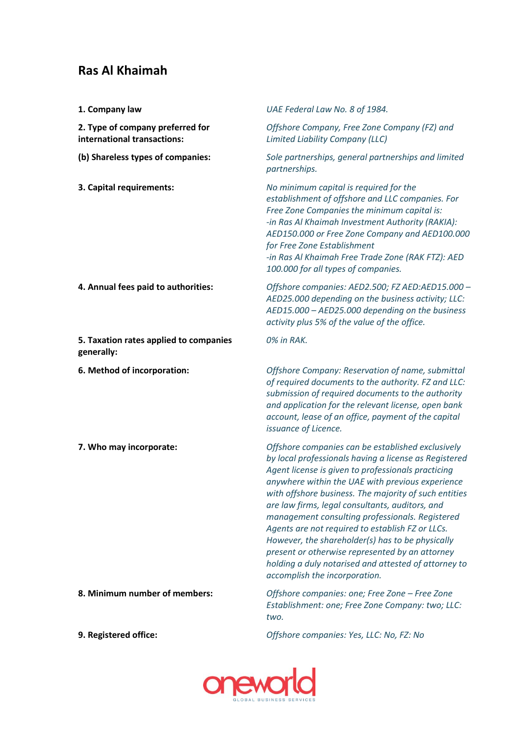## **Ras Al Khaimah**

| 1. Company law                                                  | UAE Federal Law No. 8 of 1984.                                                                                                                                                                                                                                                                                                                                                                                                                                                                                                                                                                                                          |
|-----------------------------------------------------------------|-----------------------------------------------------------------------------------------------------------------------------------------------------------------------------------------------------------------------------------------------------------------------------------------------------------------------------------------------------------------------------------------------------------------------------------------------------------------------------------------------------------------------------------------------------------------------------------------------------------------------------------------|
| 2. Type of company preferred for<br>international transactions: | Offshore Company, Free Zone Company (FZ) and<br>Limited Liability Company (LLC)                                                                                                                                                                                                                                                                                                                                                                                                                                                                                                                                                         |
| (b) Shareless types of companies:                               | Sole partnerships, general partnerships and limited<br>partnerships.                                                                                                                                                                                                                                                                                                                                                                                                                                                                                                                                                                    |
| 3. Capital requirements:                                        | No minimum capital is required for the<br>establishment of offshore and LLC companies. For<br>Free Zone Companies the minimum capital is:<br>-in Ras Al Khaimah Investment Authority (RAKIA):<br>AED150.000 or Free Zone Company and AED100.000<br>for Free Zone Establishment<br>-in Ras Al Khaimah Free Trade Zone (RAK FTZ): AED<br>100.000 for all types of companies.                                                                                                                                                                                                                                                              |
| 4. Annual fees paid to authorities:                             | Offshore companies: AED2.500; FZ AED:AED15.000 -<br>AED25.000 depending on the business activity; LLC:<br>AED15.000 - AED25.000 depending on the business<br>activity plus 5% of the value of the office.                                                                                                                                                                                                                                                                                                                                                                                                                               |
| 5. Taxation rates applied to companies<br>generally:            | 0% in RAK.                                                                                                                                                                                                                                                                                                                                                                                                                                                                                                                                                                                                                              |
| 6. Method of incorporation:                                     | Offshore Company: Reservation of name, submittal<br>of required documents to the authority. FZ and LLC:<br>submission of required documents to the authority<br>and application for the relevant license, open bank<br>account, lease of an office, payment of the capital<br>issuance of Licence.                                                                                                                                                                                                                                                                                                                                      |
| 7. Who may incorporate:                                         | Offshore companies can be established exclusively<br>by local professionals having a license as Registered<br>Agent license is given to professionals practicing<br>anywhere within the UAE with previous experience<br>with offshore business. The majority of such entities<br>are law firms, legal consultants, auditors, and<br>management consulting professionals. Registered<br>Agents are not required to establish FZ or LLCs.<br>However, the shareholder(s) has to be physically<br>present or otherwise represented by an attorney<br>holding a duly notarised and attested of attorney to<br>accomplish the incorporation. |
| 8. Minimum number of members:                                   | Offshore companies: one; Free Zone - Free Zone<br>Establishment: one; Free Zone Company: two; LLC:<br>two.                                                                                                                                                                                                                                                                                                                                                                                                                                                                                                                              |
| 9. Registered office:                                           | Offshore companies: Yes, LLC: No, FZ: No                                                                                                                                                                                                                                                                                                                                                                                                                                                                                                                                                                                                |